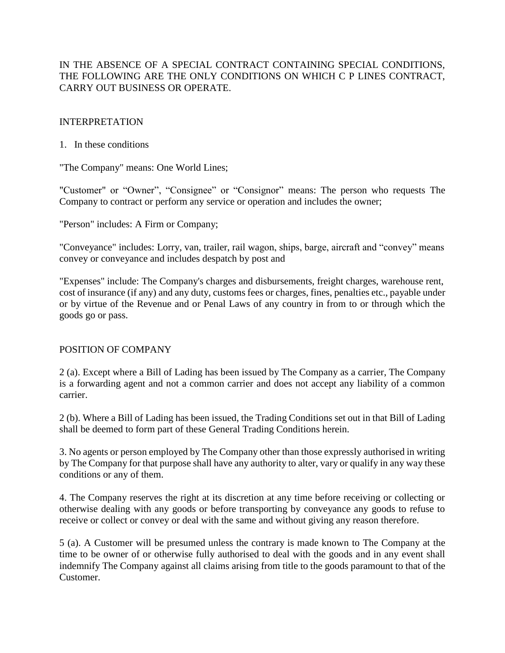## IN THE ABSENCE OF A SPECIAL CONTRACT CONTAINING SPECIAL CONDITIONS, THE FOLLOWING ARE THE ONLY CONDITIONS ON WHICH C P LINES CONTRACT, CARRY OUT BUSINESS OR OPERATE.

### INTERPRETATION

### 1. In these conditions

"The Company" means: One World Lines;

"Customer" or "Owner", "Consignee" or "Consignor" means: The person who requests The Company to contract or perform any service or operation and includes the owner;

"Person" includes: A Firm or Company;

"Conveyance" includes: Lorry, van, trailer, rail wagon, ships, barge, aircraft and "convey" means convey or conveyance and includes despatch by post and

"Expenses" include: The Company's charges and disbursements, freight charges, warehouse rent, cost of insurance (if any) and any duty, customs fees or charges, fines, penalties etc., payable under or by virtue of the Revenue and or Penal Laws of any country in from to or through which the goods go or pass.

## POSITION OF COMPANY

2 (a). Except where a Bill of Lading has been issued by The Company as a carrier, The Company is a forwarding agent and not a common carrier and does not accept any liability of a common carrier.

2 (b). Where a Bill of Lading has been issued, the Trading Conditions set out in that Bill of Lading shall be deemed to form part of these General Trading Conditions herein.

3. No agents or person employed by The Company other than those expressly authorised in writing by The Company for that purpose shall have any authority to alter, vary or qualify in any way these conditions or any of them.

4. The Company reserves the right at its discretion at any time before receiving or collecting or otherwise dealing with any goods or before transporting by conveyance any goods to refuse to receive or collect or convey or deal with the same and without giving any reason therefore.

5 (a). A Customer will be presumed unless the contrary is made known to The Company at the time to be owner of or otherwise fully authorised to deal with the goods and in any event shall indemnify The Company against all claims arising from title to the goods paramount to that of the Customer.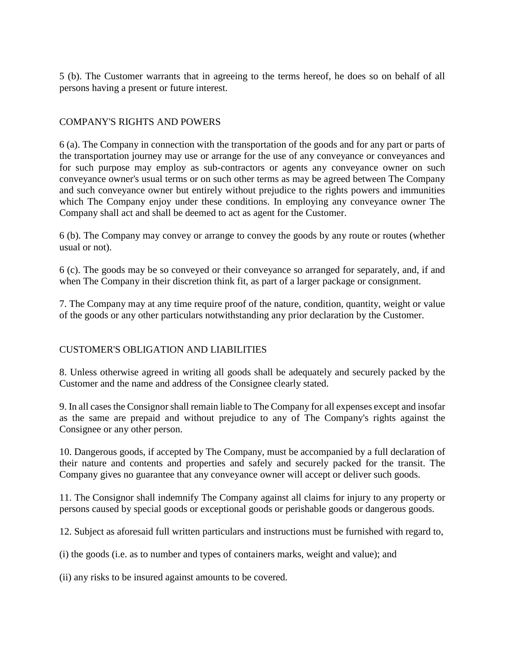5 (b). The Customer warrants that in agreeing to the terms hereof, he does so on behalf of all persons having a present or future interest.

### COMPANY'S RIGHTS AND POWERS

6 (a). The Company in connection with the transportation of the goods and for any part or parts of the transportation journey may use or arrange for the use of any conveyance or conveyances and for such purpose may employ as sub-contractors or agents any conveyance owner on such conveyance owner's usual terms or on such other terms as may be agreed between The Company and such conveyance owner but entirely without prejudice to the rights powers and immunities which The Company enjoy under these conditions. In employing any conveyance owner The Company shall act and shall be deemed to act as agent for the Customer.

6 (b). The Company may convey or arrange to convey the goods by any route or routes (whether usual or not).

6 (c). The goods may be so conveyed or their conveyance so arranged for separately, and, if and when The Company in their discretion think fit, as part of a larger package or consignment.

7. The Company may at any time require proof of the nature, condition, quantity, weight or value of the goods or any other particulars notwithstanding any prior declaration by the Customer.

## CUSTOMER'S OBLIGATION AND LIABILITIES

8. Unless otherwise agreed in writing all goods shall be adequately and securely packed by the Customer and the name and address of the Consignee clearly stated.

9. In all cases the Consignor shall remain liable to The Company for all expenses except and insofar as the same are prepaid and without prejudice to any of The Company's rights against the Consignee or any other person.

10. Dangerous goods, if accepted by The Company, must be accompanied by a full declaration of their nature and contents and properties and safely and securely packed for the transit. The Company gives no guarantee that any conveyance owner will accept or deliver such goods.

11. The Consignor shall indemnify The Company against all claims for injury to any property or persons caused by special goods or exceptional goods or perishable goods or dangerous goods.

12. Subject as aforesaid full written particulars and instructions must be furnished with regard to,

(i) the goods (i.e. as to number and types of containers marks, weight and value); and

(ii) any risks to be insured against amounts to be covered.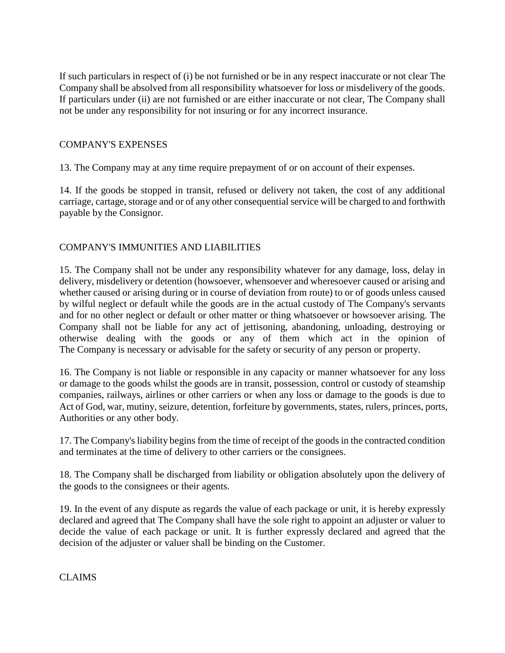If such particulars in respect of (i) be not furnished or be in any respect inaccurate or not clear The Company shall be absolved from all responsibility whatsoever for loss or misdelivery of the goods. If particulars under (ii) are not furnished or are either inaccurate or not clear, The Company shall not be under any responsibility for not insuring or for any incorrect insurance.

## COMPANY'S EXPENSES

13. The Company may at any time require prepayment of or on account of their expenses.

14. If the goods be stopped in transit, refused or delivery not taken, the cost of any additional carriage, cartage, storage and or of any other consequential service will be charged to and forthwith payable by the Consignor.

# COMPANY'S IMMUNITIES AND LIABILITIES

15. The Company shall not be under any responsibility whatever for any damage, loss, delay in delivery, misdelivery or detention (howsoever, whensoever and wheresoever caused or arising and whether caused or arising during or in course of deviation from route) to or of goods unless caused by wilful neglect or default while the goods are in the actual custody of The Company's servants and for no other neglect or default or other matter or thing whatsoever or howsoever arising. The Company shall not be liable for any act of jettisoning, abandoning, unloading, destroying or otherwise dealing with the goods or any of them which act in the opinion of The Company is necessary or advisable for the safety or security of any person or property.

16. The Company is not liable or responsible in any capacity or manner whatsoever for any loss or damage to the goods whilst the goods are in transit, possession, control or custody of steamship companies, railways, airlines or other carriers or when any loss or damage to the goods is due to Act of God, war, mutiny, seizure, detention, forfeiture by governments, states, rulers, princes, ports, Authorities or any other body.

17. The Company's liability begins from the time of receipt of the goods in the contracted condition and terminates at the time of delivery to other carriers or the consignees.

18. The Company shall be discharged from liability or obligation absolutely upon the delivery of the goods to the consignees or their agents.

19. In the event of any dispute as regards the value of each package or unit, it is hereby expressly declared and agreed that The Company shall have the sole right to appoint an adjuster or valuer to decide the value of each package or unit. It is further expressly declared and agreed that the decision of the adjuster or valuer shall be binding on the Customer.

CLAIMS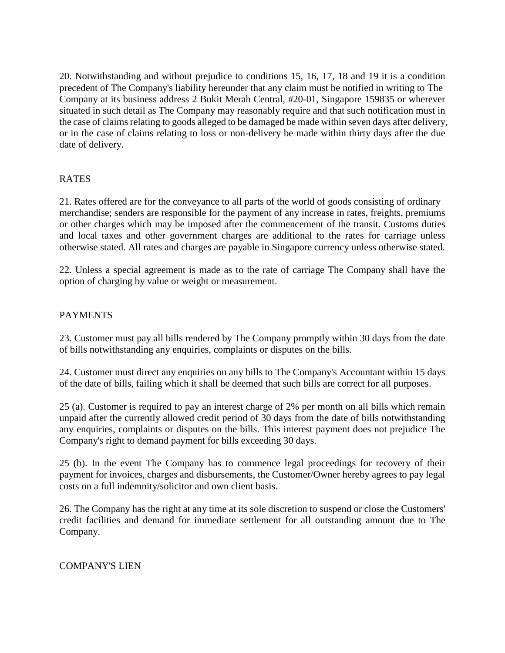20. Notwithstanding and without prejudice to conditions 15, 16, 17, 18 and 19 it is a condition precedent of The Company's liability hereunder that any claim must be notified in writing to The Company at its business address 2 Bukit Merah Central, #20-01, Singapore 159835 or wherever situated in such detail as The Company may reasonably require and that such notification must in the case of claims relating to goods alleged to be damaged be made within seven days after delivery, or in the case of claims relating to loss or non-delivery be made within thirty days after the due date of delivery.

# **RATES**

21. Rates offered are for the conveyance to all parts of the world of goods consisting of ordinary merchandise; senders are responsible for the payment of any increase in rates, freights, premiums or other charges which may be imposed after the commencement of the transit. Customs duties and local taxes and other government charges are additional to the rates for carriage unless otherwise stated. All rates and charges are payable in Singapore currency unless otherwise stated.

22. Unless a special agreement is made as to the rate of carriage The Company shall have the option of charging by value or weight or measurement.

## PAYMENTS

23. Customer must pay all bills rendered by The Company promptly within 30 days from the date of bills notwithstanding any enquiries, complaints or disputes on the bills.

24. Customer must direct any enquiries on any bills to The Company's Accountant within 15 days of the date of bills, failing which it shall be deemed that such bills are correct for all purposes.

25 (a). Customer is required to pay an interest charge of 2% per month on all bills which remain unpaid after the currently allowed credit period of 30 days from the date of bills notwithstanding any enquiries, complaints or disputes on the bills. This interest payment does not prejudice The Company's right to demand payment for bills exceeding 30 days.

25 (b). In the event The Company has to commence legal proceedings for recovery of their payment for invoices, charges and disbursements, the Customer/Owner hereby agrees to pay legal costs on a full indemnity/solicitor and own client basis.

26. The Company has the right at any time at its sole discretion to suspend or close the Customers' credit facilities and demand for immediate settlement for all outstanding amount due to The Company.

#### COMPANY'S LIEN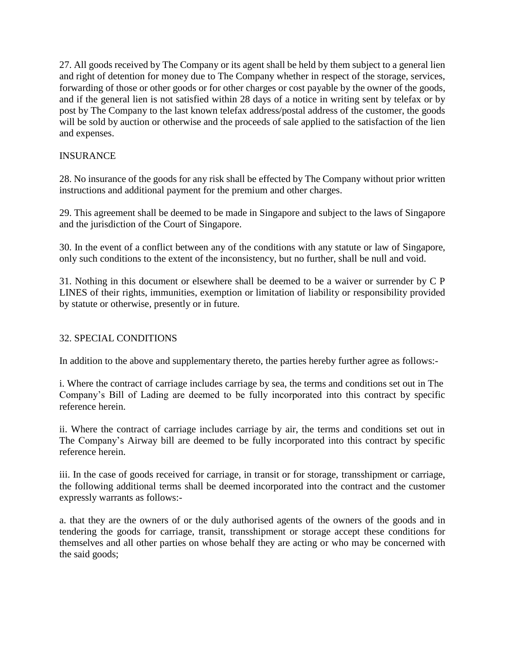27. All goods received by The Company or its agent shall be held by them subject to a general lien and right of detention for money due to The Company whether in respect of the storage, services, forwarding of those or other goods or for other charges or cost payable by the owner of the goods, and if the general lien is not satisfied within 28 days of a notice in writing sent by telefax or by post by The Company to the last known telefax address/postal address of the customer, the goods will be sold by auction or otherwise and the proceeds of sale applied to the satisfaction of the lien and expenses.

## INSURANCE

28. No insurance of the goods for any risk shall be effected by The Company without prior written instructions and additional payment for the premium and other charges.

29. This agreement shall be deemed to be made in Singapore and subject to the laws of Singapore and the jurisdiction of the Court of Singapore.

30. In the event of a conflict between any of the conditions with any statute or law of Singapore, only such conditions to the extent of the inconsistency, but no further, shall be null and void.

31. Nothing in this document or elsewhere shall be deemed to be a waiver or surrender by C P LINES of their rights, immunities, exemption or limitation of liability or responsibility provided by statute or otherwise, presently or in future.

## 32. SPECIAL CONDITIONS

In addition to the above and supplementary thereto, the parties hereby further agree as follows:-

i. Where the contract of carriage includes carriage by sea, the terms and conditions set out in The Company's Bill of Lading are deemed to be fully incorporated into this contract by specific reference herein.

ii. Where the contract of carriage includes carriage by air, the terms and conditions set out in The Company's Airway bill are deemed to be fully incorporated into this contract by specific reference herein.

iii. In the case of goods received for carriage, in transit or for storage, transshipment or carriage, the following additional terms shall be deemed incorporated into the contract and the customer expressly warrants as follows:-

a. that they are the owners of or the duly authorised agents of the owners of the goods and in tendering the goods for carriage, transit, transshipment or storage accept these conditions for themselves and all other parties on whose behalf they are acting or who may be concerned with the said goods;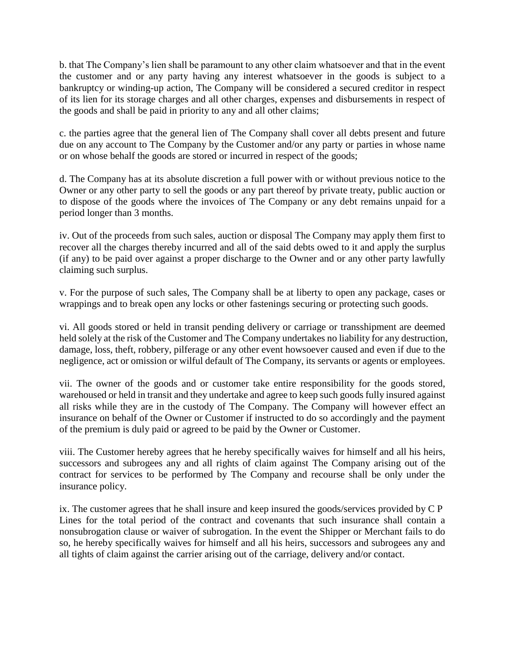b. that The Company's lien shall be paramount to any other claim whatsoever and that in the event the customer and or any party having any interest whatsoever in the goods is subject to a bankruptcy or winding-up action, The Company will be considered a secured creditor in respect of its lien for its storage charges and all other charges, expenses and disbursements in respect of the goods and shall be paid in priority to any and all other claims;

c. the parties agree that the general lien of The Company shall cover all debts present and future due on any account to The Company by the Customer and/or any party or parties in whose name or on whose behalf the goods are stored or incurred in respect of the goods;

d. The Company has at its absolute discretion a full power with or without previous notice to the Owner or any other party to sell the goods or any part thereof by private treaty, public auction or to dispose of the goods where the invoices of The Company or any debt remains unpaid for a period longer than 3 months.

iv. Out of the proceeds from such sales, auction or disposal The Company may apply them first to recover all the charges thereby incurred and all of the said debts owed to it and apply the surplus (if any) to be paid over against a proper discharge to the Owner and or any other party lawfully claiming such surplus.

v. For the purpose of such sales, The Company shall be at liberty to open any package, cases or wrappings and to break open any locks or other fastenings securing or protecting such goods.

vi. All goods stored or held in transit pending delivery or carriage or transshipment are deemed held solely at the risk of the Customer and The Company undertakes no liability for any destruction, damage, loss, theft, robbery, pilferage or any other event howsoever caused and even if due to the negligence, act or omission or wilful default of The Company, its servants or agents or employees.

vii. The owner of the goods and or customer take entire responsibility for the goods stored, warehoused or held in transit and they undertake and agree to keep such goods fully insured against all risks while they are in the custody of The Company. The Company will however effect an insurance on behalf of the Owner or Customer if instructed to do so accordingly and the payment of the premium is duly paid or agreed to be paid by the Owner or Customer.

viii. The Customer hereby agrees that he hereby specifically waives for himself and all his heirs, successors and subrogees any and all rights of claim against The Company arising out of the contract for services to be performed by The Company and recourse shall be only under the insurance policy.

ix. The customer agrees that he shall insure and keep insured the goods/services provided by C P Lines for the total period of the contract and covenants that such insurance shall contain a nonsubrogation clause or waiver of subrogation. In the event the Shipper or Merchant fails to do so, he hereby specifically waives for himself and all his heirs, successors and subrogees any and all tights of claim against the carrier arising out of the carriage, delivery and/or contact.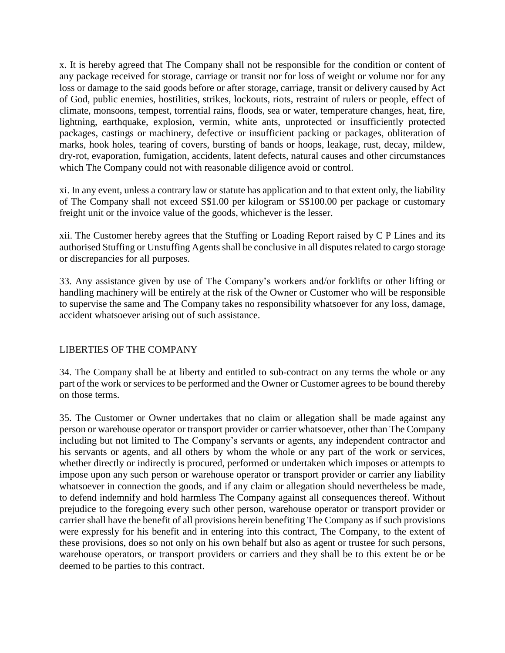x. It is hereby agreed that The Company shall not be responsible for the condition or content of any package received for storage, carriage or transit nor for loss of weight or volume nor for any loss or damage to the said goods before or after storage, carriage, transit or delivery caused by Act of God, public enemies, hostilities, strikes, lockouts, riots, restraint of rulers or people, effect of climate, monsoons, tempest, torrential rains, floods, sea or water, temperature changes, heat, fire, lightning, earthquake, explosion, vermin, white ants, unprotected or insufficiently protected packages, castings or machinery, defective or insufficient packing or packages, obliteration of marks, hook holes, tearing of covers, bursting of bands or hoops, leakage, rust, decay, mildew, dry-rot, evaporation, fumigation, accidents, latent defects, natural causes and other circumstances which The Company could not with reasonable diligence avoid or control.

xi. In any event, unless a contrary law or statute has application and to that extent only, the liability of The Company shall not exceed S\$1.00 per kilogram or S\$100.00 per package or customary freight unit or the invoice value of the goods, whichever is the lesser.

xii. The Customer hereby agrees that the Stuffing or Loading Report raised by C P Lines and its authorised Stuffing or Unstuffing Agents shall be conclusive in all disputes related to cargo storage or discrepancies for all purposes.

33. Any assistance given by use of The Company's workers and/or forklifts or other lifting or handling machinery will be entirely at the risk of the Owner or Customer who will be responsible to supervise the same and The Company takes no responsibility whatsoever for any loss, damage, accident whatsoever arising out of such assistance.

## LIBERTIES OF THE COMPANY

34. The Company shall be at liberty and entitled to sub-contract on any terms the whole or any part of the work or services to be performed and the Owner or Customer agrees to be bound thereby on those terms.

35. The Customer or Owner undertakes that no claim or allegation shall be made against any person or warehouse operator or transport provider or carrier whatsoever, other than The Company including but not limited to The Company's servants or agents, any independent contractor and his servants or agents, and all others by whom the whole or any part of the work or services, whether directly or indirectly is procured, performed or undertaken which imposes or attempts to impose upon any such person or warehouse operator or transport provider or carrier any liability whatsoever in connection the goods, and if any claim or allegation should nevertheless be made, to defend indemnify and hold harmless The Company against all consequences thereof. Without prejudice to the foregoing every such other person, warehouse operator or transport provider or carrier shall have the benefit of all provisions herein benefiting The Company as if such provisions were expressly for his benefit and in entering into this contract, The Company, to the extent of these provisions, does so not only on his own behalf but also as agent or trustee for such persons, warehouse operators, or transport providers or carriers and they shall be to this extent be or be deemed to be parties to this contract.